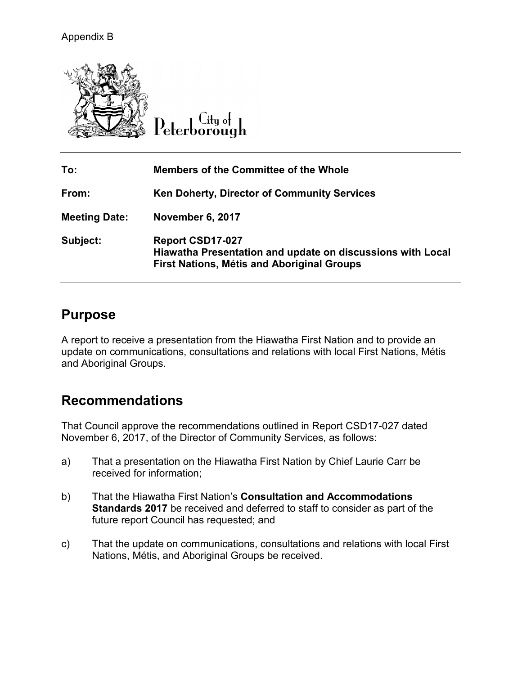

 $C$ ity of Peterborough

| To:                  | <b>Members of the Committee of the Whole</b>                                                                                               |
|----------------------|--------------------------------------------------------------------------------------------------------------------------------------------|
| From:                | <b>Ken Doherty, Director of Community Services</b>                                                                                         |
| <b>Meeting Date:</b> | November 6, 2017                                                                                                                           |
| Subject:             | <b>Report CSD17-027</b><br>Hiawatha Presentation and update on discussions with Local<br><b>First Nations, Métis and Aboriginal Groups</b> |

### **Purpose**

A report to receive a presentation from the Hiawatha First Nation and to provide an update on communications, consultations and relations with local First Nations, Métis and Aboriginal Groups.

# **Recommendations**

That Council approve the recommendations outlined in Report CSD17-027 dated November 6, 2017, of the Director of Community Services, as follows:

- a) That a presentation on the Hiawatha First Nation by Chief Laurie Carr be received for information;
- b) That the Hiawatha First Nation's **Consultation and Accommodations Standards 2017** be received and deferred to staff to consider as part of the future report Council has requested; and
- c) That the update on communications, consultations and relations with local First Nations, Métis, and Aboriginal Groups be received.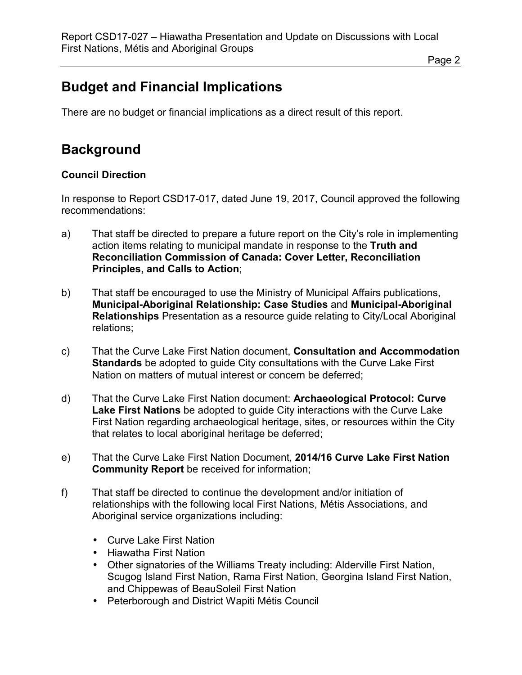Page 2

# **Budget and Financial Implications**

There are no budget or financial implications as a direct result of this report.

# **Background**

### **Council Direction**

In response to Report CSD17-017, dated June 19, 2017, Council approved the following recommendations:

- a) That staff be directed to prepare a future report on the City's role in implementing action items relating to municipal mandate in response to the **Truth and Reconciliation Commission of Canada: Cover Letter, Reconciliation Principles, and Calls to Action**;
- b) That staff be encouraged to use the Ministry of Municipal Affairs publications, **Municipal-Aboriginal Relationship: Case Studies** and **Municipal-Aboriginal Relationships** Presentation as a resource guide relating to City/Local Aboriginal relations;
- c) That the Curve Lake First Nation document, **Consultation and Accommodation Standards** be adopted to guide City consultations with the Curve Lake First Nation on matters of mutual interest or concern be deferred;
- d) That the Curve Lake First Nation document: **Archaeological Protocol: Curve Lake First Nations** be adopted to guide City interactions with the Curve Lake First Nation regarding archaeological heritage, sites, or resources within the City that relates to local aboriginal heritage be deferred;
- e) That the Curve Lake First Nation Document, **2014/16 Curve Lake First Nation Community Report** be received for information;
- f) That staff be directed to continue the development and/or initiation of relationships with the following local First Nations, Métis Associations, and Aboriginal service organizations including:
	- Curve Lake First Nation
	- Hiawatha First Nation
	- Other signatories of the Williams Treaty including: Alderville First Nation, Scugog Island First Nation, Rama First Nation, Georgina Island First Nation, and Chippewas of BeauSoleil First Nation
	- Peterborough and District Wapiti Métis Council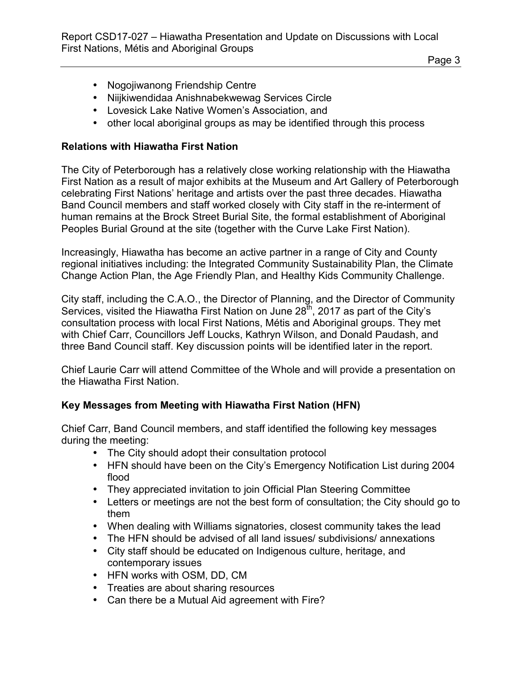Page 3

- Nogojiwanong Friendship Centre
- Niijkiwendidaa Anishnabekwewag Services Circle
- Lovesick Lake Native Women's Association, and
- other local aboriginal groups as may be identified through this process

#### **Relations with Hiawatha First Nation**

The City of Peterborough has a relatively close working relationship with the Hiawatha First Nation as a result of major exhibits at the Museum and Art Gallery of Peterborough celebrating First Nations' heritage and artists over the past three decades. Hiawatha Band Council members and staff worked closely with City staff in the re-interment of human remains at the Brock Street Burial Site, the formal establishment of Aboriginal Peoples Burial Ground at the site (together with the Curve Lake First Nation).

Increasingly, Hiawatha has become an active partner in a range of City and County regional initiatives including: the Integrated Community Sustainability Plan, the Climate Change Action Plan, the Age Friendly Plan, and Healthy Kids Community Challenge.

City staff, including the C.A.O., the Director of Planning, and the Director of Community Services, visited the Hiawatha First Nation on June  $28<sup>th</sup>$ , 2017 as part of the City's consultation process with local First Nations, Métis and Aboriginal groups. They met with Chief Carr, Councillors Jeff Loucks, Kathryn Wilson, and Donald Paudash, and three Band Council staff. Key discussion points will be identified later in the report.

Chief Laurie Carr will attend Committee of the Whole and will provide a presentation on the Hiawatha First Nation.

### **Key Messages from Meeting with Hiawatha First Nation (HFN)**

Chief Carr, Band Council members, and staff identified the following key messages during the meeting:

- The City should adopt their consultation protocol
- HFN should have been on the City's Emergency Notification List during 2004 flood
- They appreciated invitation to join Official Plan Steering Committee
- Letters or meetings are not the best form of consultation; the City should go to them
- When dealing with Williams signatories, closest community takes the lead
- The HFN should be advised of all land issues/ subdivisions/ annexations
- City staff should be educated on Indigenous culture, heritage, and contemporary issues
- HFN works with OSM, DD, CM
- Treaties are about sharing resources
- Can there be a Mutual Aid agreement with Fire?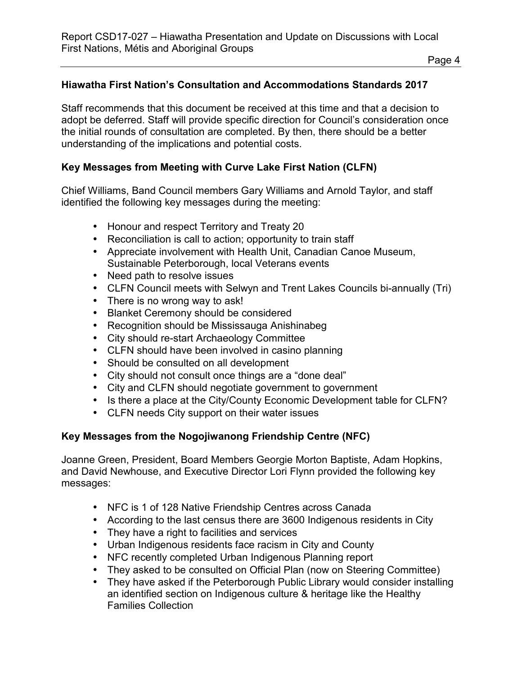#### **Hiawatha First Nation's Consultation and Accommodations Standards 2017**

Staff recommends that this document be received at this time and that a decision to adopt be deferred. Staff will provide specific direction for Council's consideration once the initial rounds of consultation are completed. By then, there should be a better understanding of the implications and potential costs.

#### **Key Messages from Meeting with Curve Lake First Nation (CLFN)**

Chief Williams, Band Council members Gary Williams and Arnold Taylor, and staff identified the following key messages during the meeting:

- Honour and respect Territory and Treaty 20
- Reconciliation is call to action; opportunity to train staff
- Appreciate involvement with Health Unit, Canadian Canoe Museum, Sustainable Peterborough, local Veterans events
- Need path to resolve issues
- CLFN Council meets with Selwyn and Trent Lakes Councils bi-annually (Tri)
- There is no wrong way to ask!
- Blanket Ceremony should be considered
- Recognition should be Mississauga Anishinabeg
- City should re-start Archaeology Committee
- CLFN should have been involved in casino planning
- Should be consulted on all development
- City should not consult once things are a "done deal"
- City and CLFN should negotiate government to government
- Is there a place at the City/County Economic Development table for CLFN?
- CLFN needs City support on their water issues

#### **Key Messages from the Nogojiwanong Friendship Centre (NFC)**

Joanne Green, President, Board Members Georgie Morton Baptiste, Adam Hopkins, and David Newhouse, and Executive Director Lori Flynn provided the following key messages:

- NFC is 1 of 128 Native Friendship Centres across Canada
- According to the last census there are 3600 Indigenous residents in City
- They have a right to facilities and services
- Urban Indigenous residents face racism in City and County
- NFC recently completed Urban Indigenous Planning report
- They asked to be consulted on Official Plan (now on Steering Committee)
- They have asked if the Peterborough Public Library would consider installing an identified section on Indigenous culture & heritage like the Healthy Families Collection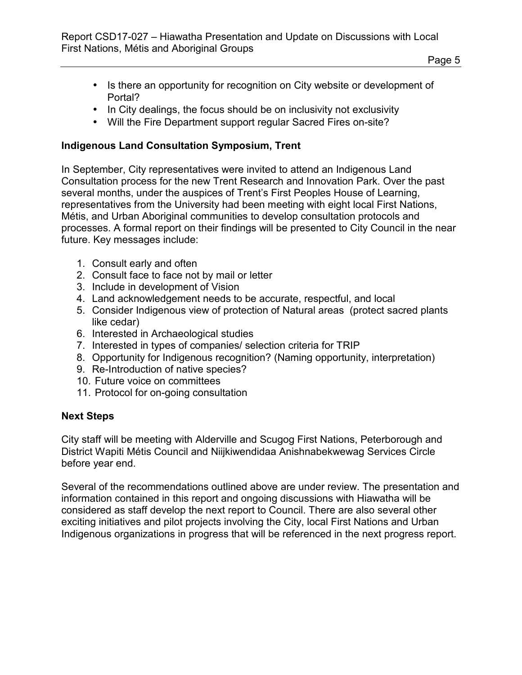- Is there an opportunity for recognition on City website or development of Portal?
- In City dealings, the focus should be on inclusivity not exclusivity
- Will the Fire Department support regular Sacred Fires on-site?

### **Indigenous Land Consultation Symposium, Trent**

In September, City representatives were invited to attend an Indigenous Land Consultation process for the new Trent Research and Innovation Park. Over the past several months, under the auspices of Trent's First Peoples House of Learning, representatives from the University had been meeting with eight local First Nations, Métis, and Urban Aboriginal communities to develop consultation protocols and processes. A formal report on their findings will be presented to City Council in the near future. Key messages include:

- 1. Consult early and often
- 2. Consult face to face not by mail or letter
- 3. Include in development of Vision
- 4. Land acknowledgement needs to be accurate, respectful, and local
- 5. Consider Indigenous view of protection of Natural areas (protect sacred plants like cedar)
- 6. Interested in Archaeological studies
- 7. Interested in types of companies/ selection criteria for TRIP
- 8. Opportunity for Indigenous recognition? (Naming opportunity, interpretation)
- 9. Re-Introduction of native species?
- 10. Future voice on committees
- 11. Protocol for on-going consultation

### **Next Steps**

City staff will be meeting with Alderville and Scugog First Nations, Peterborough and District Wapiti Métis Council and Niijkiwendidaa Anishnabekwewag Services Circle before year end.

Several of the recommendations outlined above are under review. The presentation and information contained in this report and ongoing discussions with Hiawatha will be considered as staff develop the next report to Council. There are also several other exciting initiatives and pilot projects involving the City, local First Nations and Urban Indigenous organizations in progress that will be referenced in the next progress report.